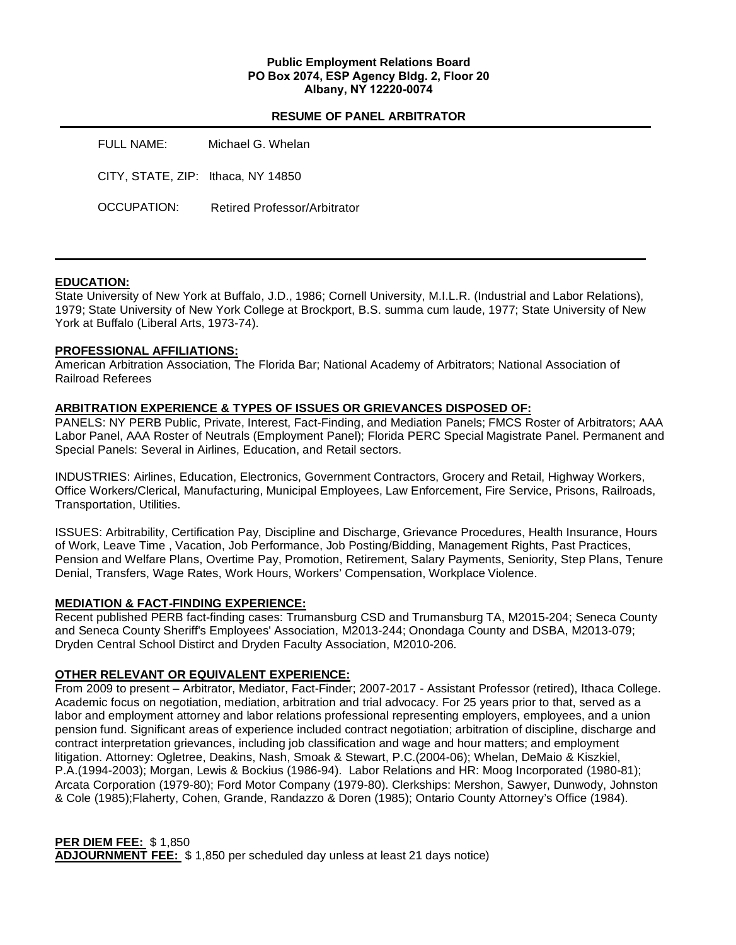### **Public Employment Relations Board PO Box 2074, ESP Agency Bldg. 2, Floor 20 Albany, NY 12220-0074**

### **RESUME OF PANEL ARBITRATOR**

| FULL NAME:                         | Michael G. Whelan            |
|------------------------------------|------------------------------|
| CITY, STATE, ZIP: Ithaca, NY 14850 |                              |
| OCCUPATION:                        | Retired Professor/Arbitrator |

## **EDUCATION:**

State University of New York at Buffalo, J.D., 1986; Cornell University, M.I.L.R. (Industrial and Labor Relations), 1979; State University of New York College at Brockport, B.S. summa cum laude, 1977; State University of New York at Buffalo (Liberal Arts, 1973-74).

### **PROFESSIONAL AFFILIATIONS:**

American Arbitration Association, The Florida Bar; National Academy of Arbitrators; National Association of Railroad Referees

### **ARBITRATION EXPERIENCE & TYPES OF ISSUES OR GRIEVANCES DISPOSED OF:**

PANELS: NY PERB Public, Private, Interest, Fact-Finding, and Mediation Panels; FMCS Roster of Arbitrators; AAA Labor Panel, AAA Roster of Neutrals (Employment Panel); Florida PERC Special Magistrate Panel. Permanent and Special Panels: Several in Airlines, Education, and Retail sectors.

INDUSTRIES: Airlines, Education, Electronics, Government Contractors, Grocery and Retail, Highway Workers, Office Workers/Clerical, Manufacturing, Municipal Employees, Law Enforcement, Fire Service, Prisons, Railroads, Transportation, Utilities.

ISSUES: Arbitrability, Certification Pay, Discipline and Discharge, Grievance Procedures, Health Insurance, Hours of Work, Leave Time , Vacation, Job Performance, Job Posting/Bidding, Management Rights, Past Practices, Pension and Welfare Plans, Overtime Pay, Promotion, Retirement, Salary Payments, Seniority, Step Plans, Tenure Denial, Transfers, Wage Rates, Work Hours, Workers' Compensation, Workplace Violence.

### **MEDIATION & FACT-FINDING EXPERIENCE:**

Recent published PERB fact-finding cases: Trumansburg CSD and Trumansburg TA, M2015-204; Seneca County and Seneca County Sheriff's Employees' Association, M2013-244; Onondaga County and DSBA, M2013-079; Dryden Central School Distirct and Dryden Faculty Association, M2010-206.

## **OTHER RELEVANT OR EQUIVALENT EXPERIENCE:**

From 2009 to present – Arbitrator, Mediator, Fact-Finder; 2007-2017 - Assistant Professor (retired), Ithaca College. Academic focus on negotiation, mediation, arbitration and trial advocacy. For 25 years prior to that, served as a labor and employment attorney and labor relations professional representing employers, employees, and a union pension fund. Significant areas of experience included contract negotiation; arbitration of discipline, discharge and contract interpretation grievances, including job classification and wage and hour matters; and employment litigation. Attorney: Ogletree, Deakins, Nash, Smoak & Stewart, P.C.(2004-06); Whelan, DeMaio & Kiszkiel, P.A.(1994-2003); Morgan, Lewis & Bockius (1986-94). Labor Relations and HR: Moog Incorporated (1980-81); Arcata Corporation (1979-80); Ford Motor Company (1979-80). Clerkships: Mershon, Sawyer, Dunwody, Johnston & Cole (1985);Flaherty, Cohen, Grande, Randazzo & Doren (1985); Ontario County Attorney's Office (1984).

## **PER DIEM FEE:** \$ 1,850

**ADJOURNMENT FEE:** \$ 1,850 per scheduled day unless at least 21 days notice)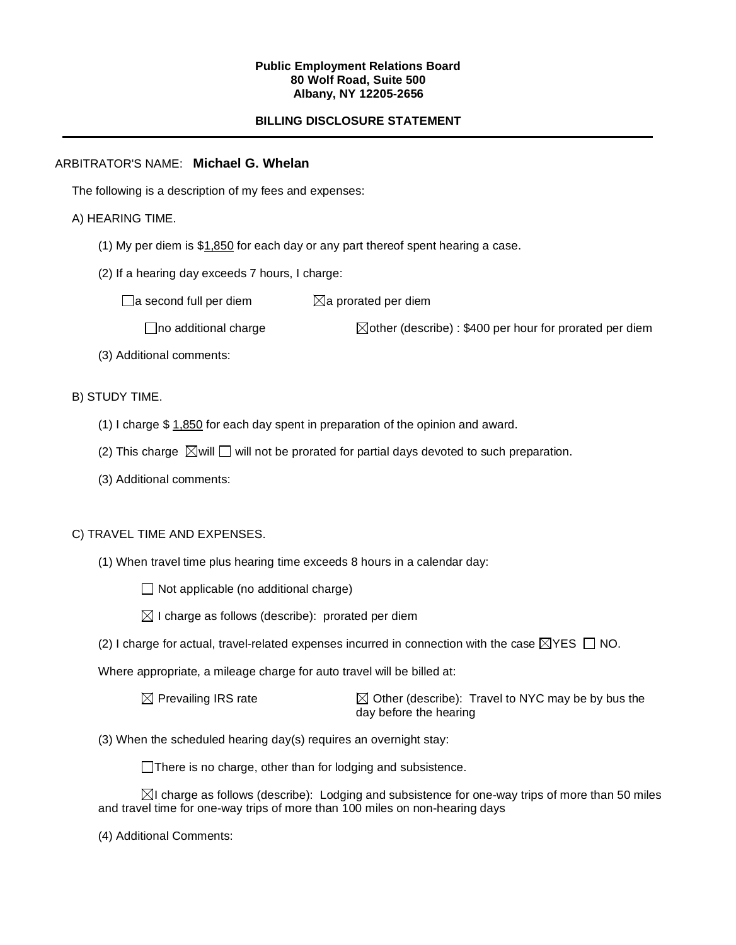### **Public Employment Relations Board 80 Wolf Road, Suite 500 Albany, NY 12205-2656**

# **BILLING DISCLOSURE STATEMENT**

## ARBITRATOR'S NAME: **Michael G. Whelan**

The following is a description of my fees and expenses:

## A) HEARING TIME.

- (1) My per diem is \$1,850 for each day or any part thereof spent hearing a case.
- (2) If a hearing day exceeds 7 hours, I charge:

 $\Box$ a second full per diem  $\boxtimes$ a prorated per diem

 $\Box$ no additional charge  $\Box$ other (describe) : \$400 per hour for prorated per diem

(3) Additional comments:

## B) STUDY TIME.

- (1) I charge \$ 1,850 for each day spent in preparation of the opinion and award.
- (2) This charge  $\boxtimes$  will  $\square$  will not be prorated for partial days devoted to such preparation.
- (3) Additional comments:

# C) TRAVEL TIME AND EXPENSES.

(1) When travel time plus hearing time exceeds 8 hours in a calendar day:

 $\Box$  Not applicable (no additional charge)

- $\boxtimes$  I charge as follows (describe): prorated per diem
- (2) I charge for actual, travel-related expenses incurred in connection with the case  $\boxtimes$ YES  $\Box$  NO.

Where appropriate, a mileage charge for auto travel will be billed at:

| $\boxtimes$ Prevailing IRS rate | $\boxtimes$ Other (describe): Travel to NYC may be by bus the |
|---------------------------------|---------------------------------------------------------------|
|                                 | day before the hearing                                        |

(3) When the scheduled hearing day(s) requires an overnight stay:

There is no charge, other than for lodging and subsistence.

 $\boxtimes$ I charge as follows (describe): Lodging and subsistence for one-way trips of more than 50 miles and travel time for one-way trips of more than 100 miles on non-hearing days

(4) Additional Comments: